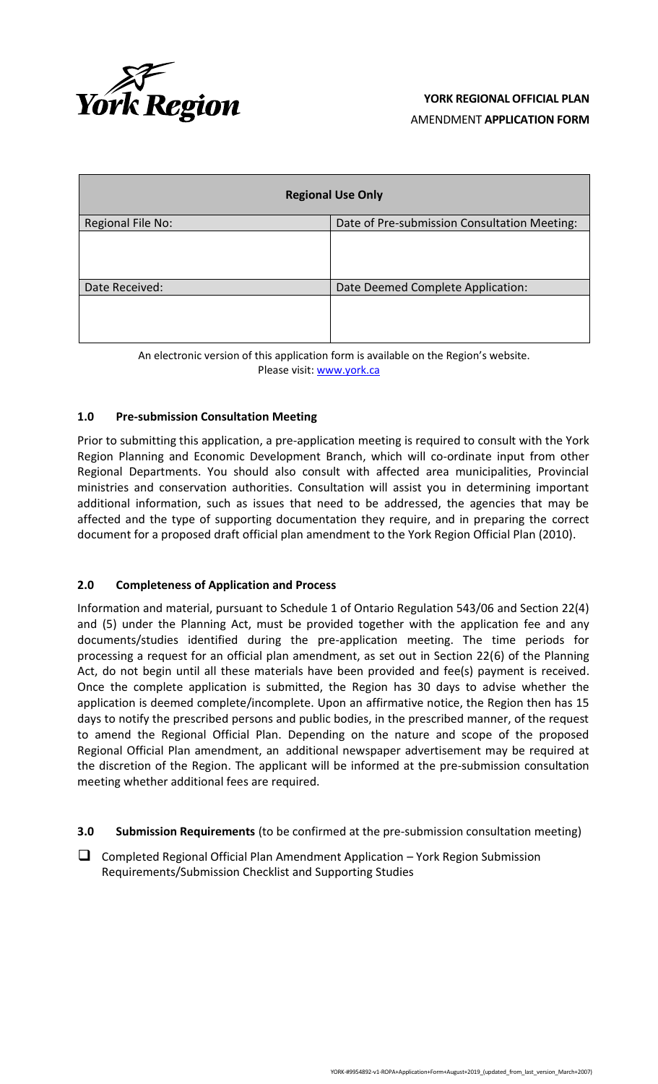

| <b>Regional Use Only</b> |                                              |  |
|--------------------------|----------------------------------------------|--|
| Regional File No:        | Date of Pre-submission Consultation Meeting: |  |
|                          |                                              |  |
| Date Received:           | Date Deemed Complete Application:            |  |
|                          |                                              |  |

| An electronic version of this application form is available on the Region's website. |  |
|--------------------------------------------------------------------------------------|--|
| Please visit: www.york.ca                                                            |  |

## **1.0 Pre-submission Consultation Meeting**

Prior to submitting this application, a pre-application meeting is required to consult with the York Region Planning and Economic Development Branch, which will co-ordinate input from other Regional Departments. You should also consult with affected area municipalities, Provincial ministries and conservation authorities. Consultation will assist you in determining important additional information, such as issues that need to be addressed, the agencies that may be affected and the type of supporting documentation they require, and in preparing the correct document for a proposed draft official plan amendment to the York Region Official Plan (2010).

### **2.0 Completeness of Application and Process**

Information and material, pursuant to Schedule 1 of Ontario Regulation 543/06 and Section 22(4) and (5) under the Planning Act, must be provided together with the application fee and any documents/studies identified during the pre-application meeting. The time periods for processing a request for an official plan amendment, as set out in Section 22(6) of the Planning Act, do not begin until all these materials have been provided and fee(s) payment is received. Once the complete application is submitted, the Region has 30 days to advise whether the application is deemed complete/incomplete. Upon an affirmative notice, the Region then has 15 days to notify the prescribed persons and public bodies, in the prescribed manner, of the request to amend the Regional Official Plan. Depending on the nature and scope of the proposed Regional Official Plan amendment, an additional newspaper advertisement may be required at the discretion of the Region. The applicant will be informed at the pre-submission consultation meeting whether additional fees are required.

- **3.0 Submission Requirements** (to be confirmed at the pre-submission consultation meeting)
- ❑ Completed Regional Official Plan Amendment Application York Region Submission Requirements/Submission Checklist and Supporting Studies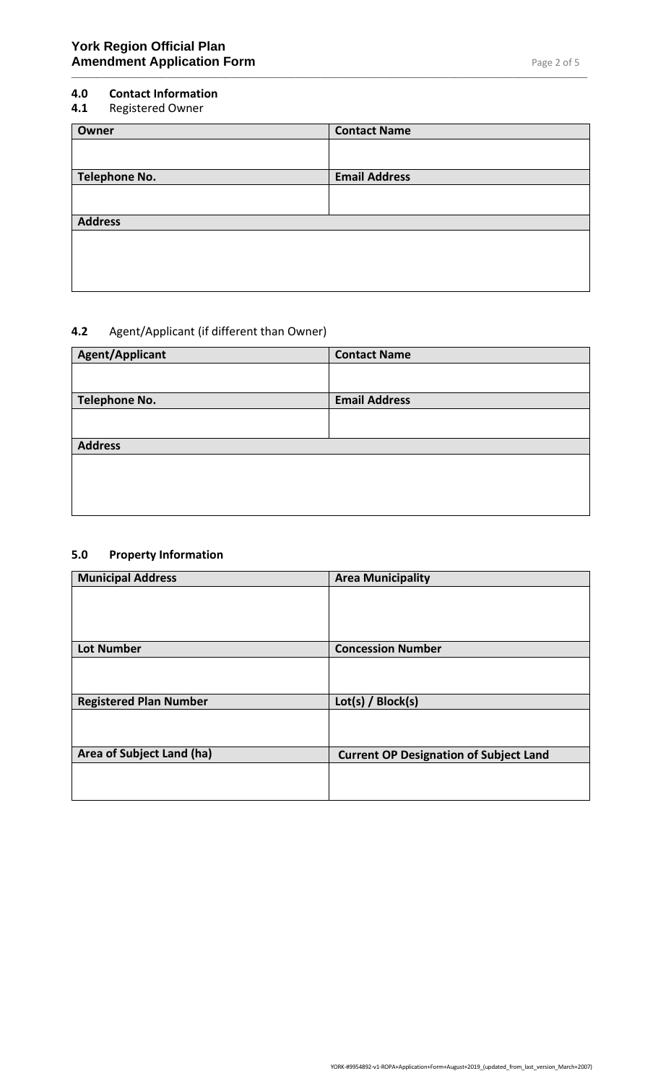### **4.0 Contact Information**

**4.1** Registered Owner

| <b>Contact Name</b>  |
|----------------------|
|                      |
|                      |
| <b>Email Address</b> |
|                      |
|                      |
|                      |
|                      |
|                      |
|                      |
|                      |
|                      |

\_\_\_\_\_\_\_\_\_\_\_\_\_\_\_\_\_\_\_\_\_\_\_\_\_\_\_\_\_\_\_\_\_\_\_\_\_\_\_\_\_\_\_\_\_\_\_\_\_\_\_\_\_\_\_\_\_\_\_\_\_\_\_\_\_\_\_\_\_\_\_\_\_\_\_\_\_\_\_\_\_\_\_\_\_\_\_\_\_\_\_\_\_\_\_\_\_\_\_\_\_\_\_\_\_\_\_\_\_\_\_\_\_\_\_\_\_\_\_\_

# **4.2** Agent/Applicant (if different than Owner)

| <b>Agent/Applicant</b> | <b>Contact Name</b>  |
|------------------------|----------------------|
|                        |                      |
|                        |                      |
| <b>Telephone No.</b>   | <b>Email Address</b> |
|                        |                      |
|                        |                      |
| <b>Address</b>         |                      |
|                        |                      |
|                        |                      |
|                        |                      |
|                        |                      |
|                        |                      |

# **5.0 Property Information**

| <b>Area Municipality</b>                      |
|-----------------------------------------------|
|                                               |
|                                               |
|                                               |
| <b>Concession Number</b>                      |
|                                               |
|                                               |
| Lot(s) / Block(s)                             |
|                                               |
|                                               |
| <b>Current OP Designation of Subject Land</b> |
|                                               |
|                                               |
|                                               |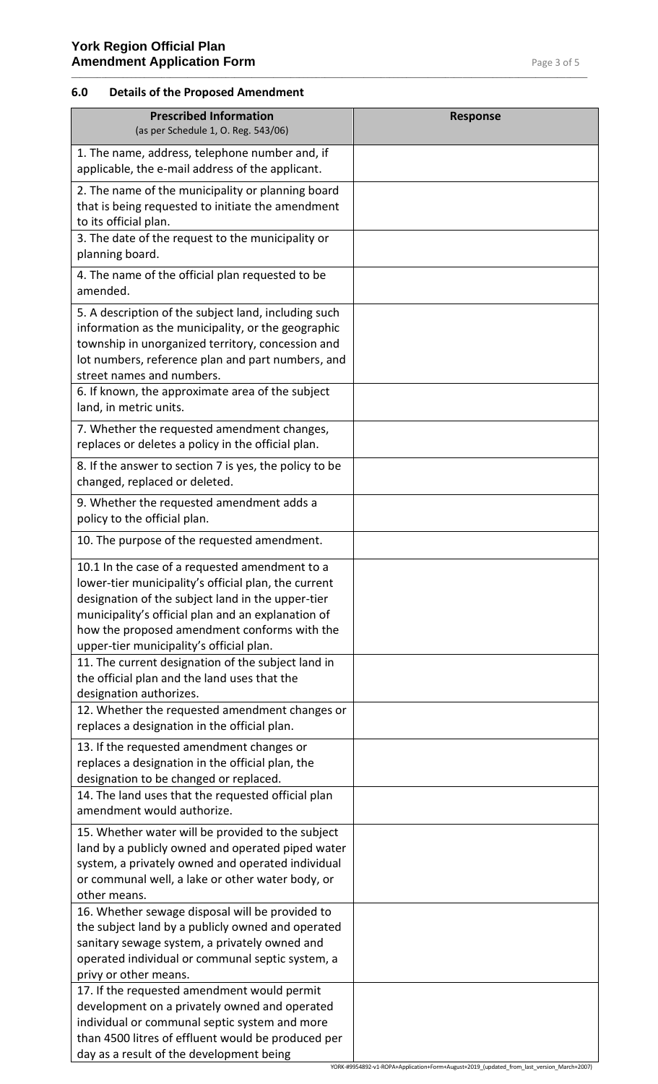### **6.0 Details of the Proposed Amendment**

| <b>Prescribed Information</b><br>(as per Schedule 1, O. Reg. 543/06)                                                                                                                                                                                                                                                                                                                                                                                                  | <b>Response</b>                                                                           |
|-----------------------------------------------------------------------------------------------------------------------------------------------------------------------------------------------------------------------------------------------------------------------------------------------------------------------------------------------------------------------------------------------------------------------------------------------------------------------|-------------------------------------------------------------------------------------------|
| 1. The name, address, telephone number and, if<br>applicable, the e-mail address of the applicant.                                                                                                                                                                                                                                                                                                                                                                    |                                                                                           |
| 2. The name of the municipality or planning board<br>that is being requested to initiate the amendment<br>to its official plan.                                                                                                                                                                                                                                                                                                                                       |                                                                                           |
| 3. The date of the request to the municipality or<br>planning board.                                                                                                                                                                                                                                                                                                                                                                                                  |                                                                                           |
| 4. The name of the official plan requested to be<br>amended.                                                                                                                                                                                                                                                                                                                                                                                                          |                                                                                           |
| 5. A description of the subject land, including such<br>information as the municipality, or the geographic<br>township in unorganized territory, concession and<br>lot numbers, reference plan and part numbers, and<br>street names and numbers.                                                                                                                                                                                                                     |                                                                                           |
| 6. If known, the approximate area of the subject<br>land, in metric units.                                                                                                                                                                                                                                                                                                                                                                                            |                                                                                           |
| 7. Whether the requested amendment changes,<br>replaces or deletes a policy in the official plan.                                                                                                                                                                                                                                                                                                                                                                     |                                                                                           |
| 8. If the answer to section 7 is yes, the policy to be<br>changed, replaced or deleted.                                                                                                                                                                                                                                                                                                                                                                               |                                                                                           |
| 9. Whether the requested amendment adds a<br>policy to the official plan.                                                                                                                                                                                                                                                                                                                                                                                             |                                                                                           |
| 10. The purpose of the requested amendment.                                                                                                                                                                                                                                                                                                                                                                                                                           |                                                                                           |
| 10.1 In the case of a requested amendment to a<br>lower-tier municipality's official plan, the current<br>designation of the subject land in the upper-tier<br>municipality's official plan and an explanation of<br>how the proposed amendment conforms with the<br>upper-tier municipality's official plan.                                                                                                                                                         |                                                                                           |
| 11. The current designation of the subject land in<br>the official plan and the land uses that the<br>designation authorizes.                                                                                                                                                                                                                                                                                                                                         |                                                                                           |
| 12. Whether the requested amendment changes or<br>replaces a designation in the official plan.                                                                                                                                                                                                                                                                                                                                                                        |                                                                                           |
| 13. If the requested amendment changes or<br>replaces a designation in the official plan, the<br>designation to be changed or replaced.                                                                                                                                                                                                                                                                                                                               |                                                                                           |
| 14. The land uses that the requested official plan<br>amendment would authorize.                                                                                                                                                                                                                                                                                                                                                                                      |                                                                                           |
| 15. Whether water will be provided to the subject<br>land by a publicly owned and operated piped water<br>system, a privately owned and operated individual<br>or communal well, a lake or other water body, or<br>other means.<br>16. Whether sewage disposal will be provided to<br>the subject land by a publicly owned and operated<br>sanitary sewage system, a privately owned and<br>operated individual or communal septic system, a<br>privy or other means. |                                                                                           |
| 17. If the requested amendment would permit<br>development on a privately owned and operated<br>individual or communal septic system and more<br>than 4500 litres of effluent would be produced per<br>day as a result of the development being                                                                                                                                                                                                                       | YORK-#9954892-v1-ROPA+Application+Form+August+2019_(updated_from_last_version_March+2007) |

\_\_\_\_\_\_\_\_\_\_\_\_\_\_\_\_\_\_\_\_\_\_\_\_\_\_\_\_\_\_\_\_\_\_\_\_\_\_\_\_\_\_\_\_\_\_\_\_\_\_\_\_\_\_\_\_\_\_\_\_\_\_\_\_\_\_\_\_\_\_\_\_\_\_\_\_\_\_\_\_\_\_\_\_\_\_\_\_\_\_\_\_\_\_\_\_\_\_\_\_\_\_\_\_\_\_\_\_\_\_\_\_\_\_\_\_\_\_\_\_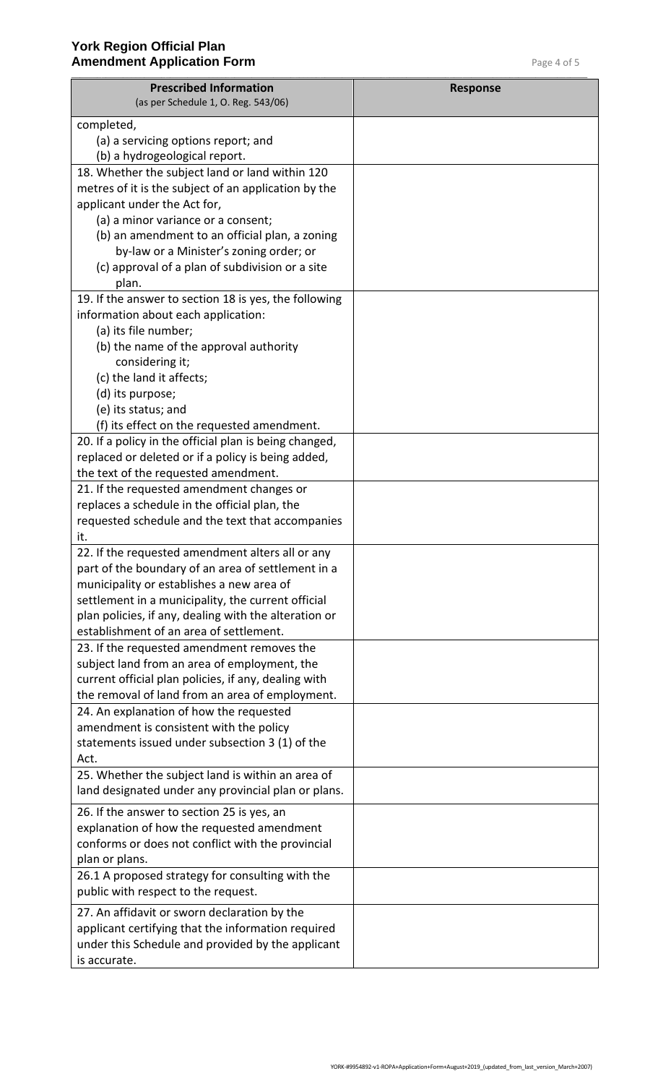| completed,<br>(a) a servicing options report; and<br>(b) a hydrogeological report.<br>18. Whether the subject land or land within 120<br>metres of it is the subject of an application by the<br>applicant under the Act for,<br>(a) a minor variance or a consent;<br>(b) an amendment to an official plan, a zoning<br>by-law or a Minister's zoning order; or<br>(c) approval of a plan of subdivision or a site<br>plan.<br>19. If the answer to section 18 is yes, the following<br>information about each application:<br>(a) its file number;<br>(b) the name of the approval authority<br>considering it;<br>(c) the land it affects;<br>(d) its purpose;<br>(e) its status; and<br>(f) its effect on the requested amendment.<br>20. If a policy in the official plan is being changed,<br>replaced or deleted or if a policy is being added,<br>the text of the requested amendment.<br>21. If the requested amendment changes or<br>replaces a schedule in the official plan, the<br>requested schedule and the text that accompanies<br>it.<br>22. If the requested amendment alters all or any<br>part of the boundary of an area of settlement in a<br>municipality or establishes a new area of<br>settlement in a municipality, the current official<br>plan policies, if any, dealing with the alteration or<br>establishment of an area of settlement.<br>23. If the requested amendment removes the<br>subject land from an area of employment, the<br>current official plan policies, if any, dealing with<br>the removal of land from an area of employment.<br>24. An explanation of how the requested<br>amendment is consistent with the policy<br>statements issued under subsection 3 (1) of the<br>Act.<br>25. Whether the subject land is within an area of<br>land designated under any provincial plan or plans.<br>26. If the answer to section 25 is yes, an<br>explanation of how the requested amendment<br>conforms or does not conflict with the provincial<br>plan or plans.<br>26.1 A proposed strategy for consulting with the<br>public with respect to the request.<br>27. An affidavit or sworn declaration by the<br>applicant certifying that the information required<br>under this Schedule and provided by the applicant | <b>Prescribed Information</b><br>(as per Schedule 1, O. Reg. 543/06) | <b>Response</b> |
|-------------------------------------------------------------------------------------------------------------------------------------------------------------------------------------------------------------------------------------------------------------------------------------------------------------------------------------------------------------------------------------------------------------------------------------------------------------------------------------------------------------------------------------------------------------------------------------------------------------------------------------------------------------------------------------------------------------------------------------------------------------------------------------------------------------------------------------------------------------------------------------------------------------------------------------------------------------------------------------------------------------------------------------------------------------------------------------------------------------------------------------------------------------------------------------------------------------------------------------------------------------------------------------------------------------------------------------------------------------------------------------------------------------------------------------------------------------------------------------------------------------------------------------------------------------------------------------------------------------------------------------------------------------------------------------------------------------------------------------------------------------------------------------------------------------------------------------------------------------------------------------------------------------------------------------------------------------------------------------------------------------------------------------------------------------------------------------------------------------------------------------------------------------------------------------------------------------------------------------------------------------------------|----------------------------------------------------------------------|-----------------|
|                                                                                                                                                                                                                                                                                                                                                                                                                                                                                                                                                                                                                                                                                                                                                                                                                                                                                                                                                                                                                                                                                                                                                                                                                                                                                                                                                                                                                                                                                                                                                                                                                                                                                                                                                                                                                                                                                                                                                                                                                                                                                                                                                                                                                                                                         |                                                                      |                 |
|                                                                                                                                                                                                                                                                                                                                                                                                                                                                                                                                                                                                                                                                                                                                                                                                                                                                                                                                                                                                                                                                                                                                                                                                                                                                                                                                                                                                                                                                                                                                                                                                                                                                                                                                                                                                                                                                                                                                                                                                                                                                                                                                                                                                                                                                         |                                                                      |                 |
|                                                                                                                                                                                                                                                                                                                                                                                                                                                                                                                                                                                                                                                                                                                                                                                                                                                                                                                                                                                                                                                                                                                                                                                                                                                                                                                                                                                                                                                                                                                                                                                                                                                                                                                                                                                                                                                                                                                                                                                                                                                                                                                                                                                                                                                                         |                                                                      |                 |
|                                                                                                                                                                                                                                                                                                                                                                                                                                                                                                                                                                                                                                                                                                                                                                                                                                                                                                                                                                                                                                                                                                                                                                                                                                                                                                                                                                                                                                                                                                                                                                                                                                                                                                                                                                                                                                                                                                                                                                                                                                                                                                                                                                                                                                                                         |                                                                      |                 |
|                                                                                                                                                                                                                                                                                                                                                                                                                                                                                                                                                                                                                                                                                                                                                                                                                                                                                                                                                                                                                                                                                                                                                                                                                                                                                                                                                                                                                                                                                                                                                                                                                                                                                                                                                                                                                                                                                                                                                                                                                                                                                                                                                                                                                                                                         |                                                                      |                 |
|                                                                                                                                                                                                                                                                                                                                                                                                                                                                                                                                                                                                                                                                                                                                                                                                                                                                                                                                                                                                                                                                                                                                                                                                                                                                                                                                                                                                                                                                                                                                                                                                                                                                                                                                                                                                                                                                                                                                                                                                                                                                                                                                                                                                                                                                         |                                                                      |                 |
|                                                                                                                                                                                                                                                                                                                                                                                                                                                                                                                                                                                                                                                                                                                                                                                                                                                                                                                                                                                                                                                                                                                                                                                                                                                                                                                                                                                                                                                                                                                                                                                                                                                                                                                                                                                                                                                                                                                                                                                                                                                                                                                                                                                                                                                                         |                                                                      |                 |
|                                                                                                                                                                                                                                                                                                                                                                                                                                                                                                                                                                                                                                                                                                                                                                                                                                                                                                                                                                                                                                                                                                                                                                                                                                                                                                                                                                                                                                                                                                                                                                                                                                                                                                                                                                                                                                                                                                                                                                                                                                                                                                                                                                                                                                                                         |                                                                      |                 |
|                                                                                                                                                                                                                                                                                                                                                                                                                                                                                                                                                                                                                                                                                                                                                                                                                                                                                                                                                                                                                                                                                                                                                                                                                                                                                                                                                                                                                                                                                                                                                                                                                                                                                                                                                                                                                                                                                                                                                                                                                                                                                                                                                                                                                                                                         |                                                                      |                 |
|                                                                                                                                                                                                                                                                                                                                                                                                                                                                                                                                                                                                                                                                                                                                                                                                                                                                                                                                                                                                                                                                                                                                                                                                                                                                                                                                                                                                                                                                                                                                                                                                                                                                                                                                                                                                                                                                                                                                                                                                                                                                                                                                                                                                                                                                         |                                                                      |                 |
|                                                                                                                                                                                                                                                                                                                                                                                                                                                                                                                                                                                                                                                                                                                                                                                                                                                                                                                                                                                                                                                                                                                                                                                                                                                                                                                                                                                                                                                                                                                                                                                                                                                                                                                                                                                                                                                                                                                                                                                                                                                                                                                                                                                                                                                                         |                                                                      |                 |
|                                                                                                                                                                                                                                                                                                                                                                                                                                                                                                                                                                                                                                                                                                                                                                                                                                                                                                                                                                                                                                                                                                                                                                                                                                                                                                                                                                                                                                                                                                                                                                                                                                                                                                                                                                                                                                                                                                                                                                                                                                                                                                                                                                                                                                                                         |                                                                      |                 |
|                                                                                                                                                                                                                                                                                                                                                                                                                                                                                                                                                                                                                                                                                                                                                                                                                                                                                                                                                                                                                                                                                                                                                                                                                                                                                                                                                                                                                                                                                                                                                                                                                                                                                                                                                                                                                                                                                                                                                                                                                                                                                                                                                                                                                                                                         |                                                                      |                 |
|                                                                                                                                                                                                                                                                                                                                                                                                                                                                                                                                                                                                                                                                                                                                                                                                                                                                                                                                                                                                                                                                                                                                                                                                                                                                                                                                                                                                                                                                                                                                                                                                                                                                                                                                                                                                                                                                                                                                                                                                                                                                                                                                                                                                                                                                         |                                                                      |                 |
|                                                                                                                                                                                                                                                                                                                                                                                                                                                                                                                                                                                                                                                                                                                                                                                                                                                                                                                                                                                                                                                                                                                                                                                                                                                                                                                                                                                                                                                                                                                                                                                                                                                                                                                                                                                                                                                                                                                                                                                                                                                                                                                                                                                                                                                                         |                                                                      |                 |
|                                                                                                                                                                                                                                                                                                                                                                                                                                                                                                                                                                                                                                                                                                                                                                                                                                                                                                                                                                                                                                                                                                                                                                                                                                                                                                                                                                                                                                                                                                                                                                                                                                                                                                                                                                                                                                                                                                                                                                                                                                                                                                                                                                                                                                                                         |                                                                      |                 |
|                                                                                                                                                                                                                                                                                                                                                                                                                                                                                                                                                                                                                                                                                                                                                                                                                                                                                                                                                                                                                                                                                                                                                                                                                                                                                                                                                                                                                                                                                                                                                                                                                                                                                                                                                                                                                                                                                                                                                                                                                                                                                                                                                                                                                                                                         |                                                                      |                 |
|                                                                                                                                                                                                                                                                                                                                                                                                                                                                                                                                                                                                                                                                                                                                                                                                                                                                                                                                                                                                                                                                                                                                                                                                                                                                                                                                                                                                                                                                                                                                                                                                                                                                                                                                                                                                                                                                                                                                                                                                                                                                                                                                                                                                                                                                         |                                                                      |                 |
|                                                                                                                                                                                                                                                                                                                                                                                                                                                                                                                                                                                                                                                                                                                                                                                                                                                                                                                                                                                                                                                                                                                                                                                                                                                                                                                                                                                                                                                                                                                                                                                                                                                                                                                                                                                                                                                                                                                                                                                                                                                                                                                                                                                                                                                                         |                                                                      |                 |
|                                                                                                                                                                                                                                                                                                                                                                                                                                                                                                                                                                                                                                                                                                                                                                                                                                                                                                                                                                                                                                                                                                                                                                                                                                                                                                                                                                                                                                                                                                                                                                                                                                                                                                                                                                                                                                                                                                                                                                                                                                                                                                                                                                                                                                                                         |                                                                      |                 |
|                                                                                                                                                                                                                                                                                                                                                                                                                                                                                                                                                                                                                                                                                                                                                                                                                                                                                                                                                                                                                                                                                                                                                                                                                                                                                                                                                                                                                                                                                                                                                                                                                                                                                                                                                                                                                                                                                                                                                                                                                                                                                                                                                                                                                                                                         |                                                                      |                 |
|                                                                                                                                                                                                                                                                                                                                                                                                                                                                                                                                                                                                                                                                                                                                                                                                                                                                                                                                                                                                                                                                                                                                                                                                                                                                                                                                                                                                                                                                                                                                                                                                                                                                                                                                                                                                                                                                                                                                                                                                                                                                                                                                                                                                                                                                         |                                                                      |                 |
|                                                                                                                                                                                                                                                                                                                                                                                                                                                                                                                                                                                                                                                                                                                                                                                                                                                                                                                                                                                                                                                                                                                                                                                                                                                                                                                                                                                                                                                                                                                                                                                                                                                                                                                                                                                                                                                                                                                                                                                                                                                                                                                                                                                                                                                                         |                                                                      |                 |
|                                                                                                                                                                                                                                                                                                                                                                                                                                                                                                                                                                                                                                                                                                                                                                                                                                                                                                                                                                                                                                                                                                                                                                                                                                                                                                                                                                                                                                                                                                                                                                                                                                                                                                                                                                                                                                                                                                                                                                                                                                                                                                                                                                                                                                                                         |                                                                      |                 |
|                                                                                                                                                                                                                                                                                                                                                                                                                                                                                                                                                                                                                                                                                                                                                                                                                                                                                                                                                                                                                                                                                                                                                                                                                                                                                                                                                                                                                                                                                                                                                                                                                                                                                                                                                                                                                                                                                                                                                                                                                                                                                                                                                                                                                                                                         |                                                                      |                 |
|                                                                                                                                                                                                                                                                                                                                                                                                                                                                                                                                                                                                                                                                                                                                                                                                                                                                                                                                                                                                                                                                                                                                                                                                                                                                                                                                                                                                                                                                                                                                                                                                                                                                                                                                                                                                                                                                                                                                                                                                                                                                                                                                                                                                                                                                         |                                                                      |                 |
|                                                                                                                                                                                                                                                                                                                                                                                                                                                                                                                                                                                                                                                                                                                                                                                                                                                                                                                                                                                                                                                                                                                                                                                                                                                                                                                                                                                                                                                                                                                                                                                                                                                                                                                                                                                                                                                                                                                                                                                                                                                                                                                                                                                                                                                                         |                                                                      |                 |
|                                                                                                                                                                                                                                                                                                                                                                                                                                                                                                                                                                                                                                                                                                                                                                                                                                                                                                                                                                                                                                                                                                                                                                                                                                                                                                                                                                                                                                                                                                                                                                                                                                                                                                                                                                                                                                                                                                                                                                                                                                                                                                                                                                                                                                                                         |                                                                      |                 |
|                                                                                                                                                                                                                                                                                                                                                                                                                                                                                                                                                                                                                                                                                                                                                                                                                                                                                                                                                                                                                                                                                                                                                                                                                                                                                                                                                                                                                                                                                                                                                                                                                                                                                                                                                                                                                                                                                                                                                                                                                                                                                                                                                                                                                                                                         |                                                                      |                 |
|                                                                                                                                                                                                                                                                                                                                                                                                                                                                                                                                                                                                                                                                                                                                                                                                                                                                                                                                                                                                                                                                                                                                                                                                                                                                                                                                                                                                                                                                                                                                                                                                                                                                                                                                                                                                                                                                                                                                                                                                                                                                                                                                                                                                                                                                         |                                                                      |                 |
|                                                                                                                                                                                                                                                                                                                                                                                                                                                                                                                                                                                                                                                                                                                                                                                                                                                                                                                                                                                                                                                                                                                                                                                                                                                                                                                                                                                                                                                                                                                                                                                                                                                                                                                                                                                                                                                                                                                                                                                                                                                                                                                                                                                                                                                                         |                                                                      |                 |
|                                                                                                                                                                                                                                                                                                                                                                                                                                                                                                                                                                                                                                                                                                                                                                                                                                                                                                                                                                                                                                                                                                                                                                                                                                                                                                                                                                                                                                                                                                                                                                                                                                                                                                                                                                                                                                                                                                                                                                                                                                                                                                                                                                                                                                                                         |                                                                      |                 |
|                                                                                                                                                                                                                                                                                                                                                                                                                                                                                                                                                                                                                                                                                                                                                                                                                                                                                                                                                                                                                                                                                                                                                                                                                                                                                                                                                                                                                                                                                                                                                                                                                                                                                                                                                                                                                                                                                                                                                                                                                                                                                                                                                                                                                                                                         |                                                                      |                 |
|                                                                                                                                                                                                                                                                                                                                                                                                                                                                                                                                                                                                                                                                                                                                                                                                                                                                                                                                                                                                                                                                                                                                                                                                                                                                                                                                                                                                                                                                                                                                                                                                                                                                                                                                                                                                                                                                                                                                                                                                                                                                                                                                                                                                                                                                         |                                                                      |                 |
|                                                                                                                                                                                                                                                                                                                                                                                                                                                                                                                                                                                                                                                                                                                                                                                                                                                                                                                                                                                                                                                                                                                                                                                                                                                                                                                                                                                                                                                                                                                                                                                                                                                                                                                                                                                                                                                                                                                                                                                                                                                                                                                                                                                                                                                                         |                                                                      |                 |
|                                                                                                                                                                                                                                                                                                                                                                                                                                                                                                                                                                                                                                                                                                                                                                                                                                                                                                                                                                                                                                                                                                                                                                                                                                                                                                                                                                                                                                                                                                                                                                                                                                                                                                                                                                                                                                                                                                                                                                                                                                                                                                                                                                                                                                                                         |                                                                      |                 |
|                                                                                                                                                                                                                                                                                                                                                                                                                                                                                                                                                                                                                                                                                                                                                                                                                                                                                                                                                                                                                                                                                                                                                                                                                                                                                                                                                                                                                                                                                                                                                                                                                                                                                                                                                                                                                                                                                                                                                                                                                                                                                                                                                                                                                                                                         |                                                                      |                 |
|                                                                                                                                                                                                                                                                                                                                                                                                                                                                                                                                                                                                                                                                                                                                                                                                                                                                                                                                                                                                                                                                                                                                                                                                                                                                                                                                                                                                                                                                                                                                                                                                                                                                                                                                                                                                                                                                                                                                                                                                                                                                                                                                                                                                                                                                         |                                                                      |                 |
|                                                                                                                                                                                                                                                                                                                                                                                                                                                                                                                                                                                                                                                                                                                                                                                                                                                                                                                                                                                                                                                                                                                                                                                                                                                                                                                                                                                                                                                                                                                                                                                                                                                                                                                                                                                                                                                                                                                                                                                                                                                                                                                                                                                                                                                                         |                                                                      |                 |
|                                                                                                                                                                                                                                                                                                                                                                                                                                                                                                                                                                                                                                                                                                                                                                                                                                                                                                                                                                                                                                                                                                                                                                                                                                                                                                                                                                                                                                                                                                                                                                                                                                                                                                                                                                                                                                                                                                                                                                                                                                                                                                                                                                                                                                                                         |                                                                      |                 |
|                                                                                                                                                                                                                                                                                                                                                                                                                                                                                                                                                                                                                                                                                                                                                                                                                                                                                                                                                                                                                                                                                                                                                                                                                                                                                                                                                                                                                                                                                                                                                                                                                                                                                                                                                                                                                                                                                                                                                                                                                                                                                                                                                                                                                                                                         |                                                                      |                 |
|                                                                                                                                                                                                                                                                                                                                                                                                                                                                                                                                                                                                                                                                                                                                                                                                                                                                                                                                                                                                                                                                                                                                                                                                                                                                                                                                                                                                                                                                                                                                                                                                                                                                                                                                                                                                                                                                                                                                                                                                                                                                                                                                                                                                                                                                         |                                                                      |                 |
|                                                                                                                                                                                                                                                                                                                                                                                                                                                                                                                                                                                                                                                                                                                                                                                                                                                                                                                                                                                                                                                                                                                                                                                                                                                                                                                                                                                                                                                                                                                                                                                                                                                                                                                                                                                                                                                                                                                                                                                                                                                                                                                                                                                                                                                                         |                                                                      |                 |
|                                                                                                                                                                                                                                                                                                                                                                                                                                                                                                                                                                                                                                                                                                                                                                                                                                                                                                                                                                                                                                                                                                                                                                                                                                                                                                                                                                                                                                                                                                                                                                                                                                                                                                                                                                                                                                                                                                                                                                                                                                                                                                                                                                                                                                                                         |                                                                      |                 |
|                                                                                                                                                                                                                                                                                                                                                                                                                                                                                                                                                                                                                                                                                                                                                                                                                                                                                                                                                                                                                                                                                                                                                                                                                                                                                                                                                                                                                                                                                                                                                                                                                                                                                                                                                                                                                                                                                                                                                                                                                                                                                                                                                                                                                                                                         |                                                                      |                 |
|                                                                                                                                                                                                                                                                                                                                                                                                                                                                                                                                                                                                                                                                                                                                                                                                                                                                                                                                                                                                                                                                                                                                                                                                                                                                                                                                                                                                                                                                                                                                                                                                                                                                                                                                                                                                                                                                                                                                                                                                                                                                                                                                                                                                                                                                         |                                                                      |                 |
|                                                                                                                                                                                                                                                                                                                                                                                                                                                                                                                                                                                                                                                                                                                                                                                                                                                                                                                                                                                                                                                                                                                                                                                                                                                                                                                                                                                                                                                                                                                                                                                                                                                                                                                                                                                                                                                                                                                                                                                                                                                                                                                                                                                                                                                                         |                                                                      |                 |
|                                                                                                                                                                                                                                                                                                                                                                                                                                                                                                                                                                                                                                                                                                                                                                                                                                                                                                                                                                                                                                                                                                                                                                                                                                                                                                                                                                                                                                                                                                                                                                                                                                                                                                                                                                                                                                                                                                                                                                                                                                                                                                                                                                                                                                                                         |                                                                      |                 |
|                                                                                                                                                                                                                                                                                                                                                                                                                                                                                                                                                                                                                                                                                                                                                                                                                                                                                                                                                                                                                                                                                                                                                                                                                                                                                                                                                                                                                                                                                                                                                                                                                                                                                                                                                                                                                                                                                                                                                                                                                                                                                                                                                                                                                                                                         |                                                                      |                 |
|                                                                                                                                                                                                                                                                                                                                                                                                                                                                                                                                                                                                                                                                                                                                                                                                                                                                                                                                                                                                                                                                                                                                                                                                                                                                                                                                                                                                                                                                                                                                                                                                                                                                                                                                                                                                                                                                                                                                                                                                                                                                                                                                                                                                                                                                         |                                                                      |                 |
|                                                                                                                                                                                                                                                                                                                                                                                                                                                                                                                                                                                                                                                                                                                                                                                                                                                                                                                                                                                                                                                                                                                                                                                                                                                                                                                                                                                                                                                                                                                                                                                                                                                                                                                                                                                                                                                                                                                                                                                                                                                                                                                                                                                                                                                                         | is accurate.                                                         |                 |